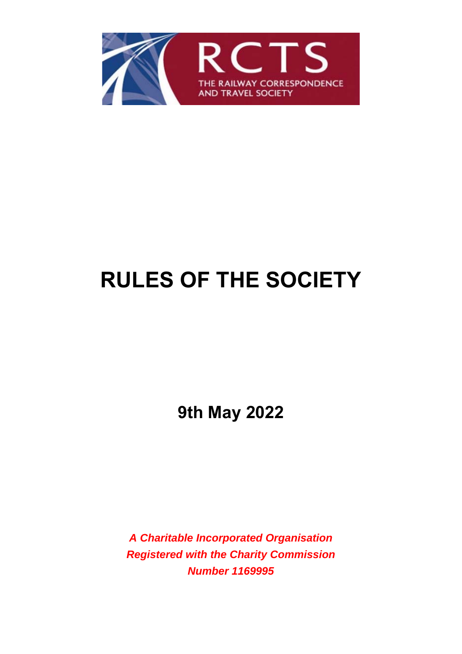

# **RULES OF THE SOCIETY**

**9th May 2022** 

*A Charitable Incorporated Organisation Registered with the Charity Commission Number 1169995*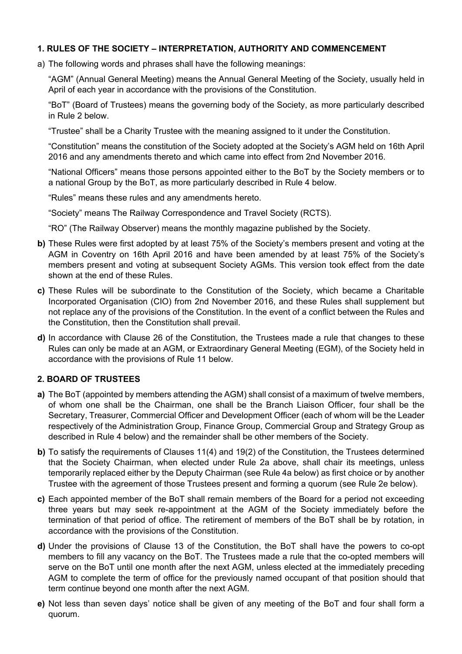## **1. RULES OF THE SOCIETY – INTERPRETATION, AUTHORITY AND COMMENCEMENT**

a) The following words and phrases shall have the following meanings:

 "AGM" (Annual General Meeting) means the Annual General Meeting of the Society, usually held in April of each year in accordance with the provisions of the Constitution.

 "BoT" (Board of Trustees) means the governing body of the Society, as more particularly described in Rule 2 below.

"Trustee" shall be a Charity Trustee with the meaning assigned to it under the Constitution.

 "Constitution" means the constitution of the Society adopted at the Society's AGM held on 16th April 2016 and any amendments thereto and which came into effect from 2nd November 2016.

 "National Officers" means those persons appointed either to the BoT by the Society members or to a national Group by the BoT, as more particularly described in Rule 4 below.

"Rules" means these rules and any amendments hereto.

"Society" means The Railway Correspondence and Travel Society (RCTS).

"RO" (The Railway Observer) means the monthly magazine published by the Society.

- **b)** These Rules were first adopted by at least 75% of the Society's members present and voting at the AGM in Coventry on 16th April 2016 and have been amended by at least 75% of the Society's members present and voting at subsequent Society AGMs. This version took effect from the date shown at the end of these Rules.
- **c)** These Rules will be subordinate to the Constitution of the Society, which became a Charitable Incorporated Organisation (CIO) from 2nd November 2016, and these Rules shall supplement but not replace any of the provisions of the Constitution. In the event of a conflict between the Rules and the Constitution, then the Constitution shall prevail.
- **d)** In accordance with Clause 26 of the Constitution, the Trustees made a rule that changes to these Rules can only be made at an AGM, or Extraordinary General Meeting (EGM), of the Society held in accordance with the provisions of Rule 11 below.

## **2. BOARD OF TRUSTEES**

- **a)** The BoT (appointed by members attending the AGM) shall consist of a maximum of twelve members, of whom one shall be the Chairman, one shall be the Branch Liaison Officer, four shall be the Secretary, Treasurer, Commercial Officer and Development Officer (each of whom will be the Leader respectively of the Administration Group, Finance Group, Commercial Group and Strategy Group as described in Rule 4 below) and the remainder shall be other members of the Society.
- **b)** To satisfy the requirements of Clauses 11(4) and 19(2) of the Constitution, the Trustees determined that the Society Chairman, when elected under Rule 2a above, shall chair its meetings, unless temporarily replaced either by the Deputy Chairman (see Rule 4a below) as first choice or by another Trustee with the agreement of those Trustees present and forming a quorum (see Rule 2e below).
- **c)** Each appointed member of the BoT shall remain members of the Board for a period not exceeding three years but may seek re-appointment at the AGM of the Society immediately before the termination of that period of office. The retirement of members of the BoT shall be by rotation, in accordance with the provisions of the Constitution.
- **d)** Under the provisions of Clause 13 of the Constitution, the BoT shall have the powers to co-opt members to fill any vacancy on the BoT. The Trustees made a rule that the co-opted members will serve on the BoT until one month after the next AGM, unless elected at the immediately preceding AGM to complete the term of office for the previously named occupant of that position should that term continue beyond one month after the next AGM.
- **e)** Not less than seven days' notice shall be given of any meeting of the BoT and four shall form a quorum.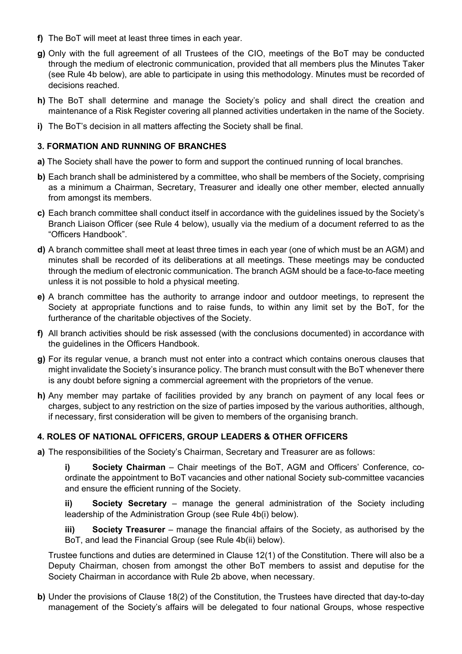- **f)** The BoT will meet at least three times in each year.
- **g)** Only with the full agreement of all Trustees of the CIO, meetings of the BoT may be conducted through the medium of electronic communication, provided that all members plus the Minutes Taker (see Rule 4b below), are able to participate in using this methodology. Minutes must be recorded of decisions reached.
- **h)** The BoT shall determine and manage the Society's policy and shall direct the creation and maintenance of a Risk Register covering all planned activities undertaken in the name of the Society.
- **i)** The BoT's decision in all matters affecting the Society shall be final.

#### **3. FORMATION AND RUNNING OF BRANCHES**

- **a)** The Society shall have the power to form and support the continued running of local branches.
- **b)** Each branch shall be administered by a committee, who shall be members of the Society, comprising as a minimum a Chairman, Secretary, Treasurer and ideally one other member, elected annually from amongst its members.
- **c)** Each branch committee shall conduct itself in accordance with the guidelines issued by the Society's Branch Liaison Officer (see Rule 4 below), usually via the medium of a document referred to as the "Officers Handbook".
- **d)** A branch committee shall meet at least three times in each year (one of which must be an AGM) and minutes shall be recorded of its deliberations at all meetings. These meetings may be conducted through the medium of electronic communication. The branch AGM should be a face-to-face meeting unless it is not possible to hold a physical meeting.
- **e)** A branch committee has the authority to arrange indoor and outdoor meetings, to represent the Society at appropriate functions and to raise funds, to within any limit set by the BoT, for the furtherance of the charitable objectives of the Society.
- **f)** All branch activities should be risk assessed (with the conclusions documented) in accordance with the guidelines in the Officers Handbook.
- **g)** For its regular venue, a branch must not enter into a contract which contains onerous clauses that might invalidate the Society's insurance policy. The branch must consult with the BoT whenever there is any doubt before signing a commercial agreement with the proprietors of the venue.
- **h)** Any member may partake of facilities provided by any branch on payment of any local fees or charges, subject to any restriction on the size of parties imposed by the various authorities, although, if necessary, first consideration will be given to members of the organising branch.

## **4. ROLES OF NATIONAL OFFICERS, GROUP LEADERS & OTHER OFFICERS**

**a)** The responsibilities of the Society's Chairman, Secretary and Treasurer are as follows:

**i) Society Chairman** – Chair meetings of the BoT, AGM and Officers' Conference, coordinate the appointment to BoT vacancies and other national Society sub-committee vacancies and ensure the efficient running of the Society.

 **ii) Society Secretary** – manage the general administration of the Society including leadership of the Administration Group (see Rule 4b(i) below).

**iii) Society Treasurer** – manage the financial affairs of the Society, as authorised by the BoT, and lead the Financial Group (see Rule 4b(ii) below).

 Trustee functions and duties are determined in Clause 12(1) of the Constitution. There will also be a Deputy Chairman, chosen from amongst the other BoT members to assist and deputise for the Society Chairman in accordance with Rule 2b above, when necessary.

**b)** Under the provisions of Clause 18(2) of the Constitution, the Trustees have directed that day-to-day management of the Society's affairs will be delegated to four national Groups, whose respective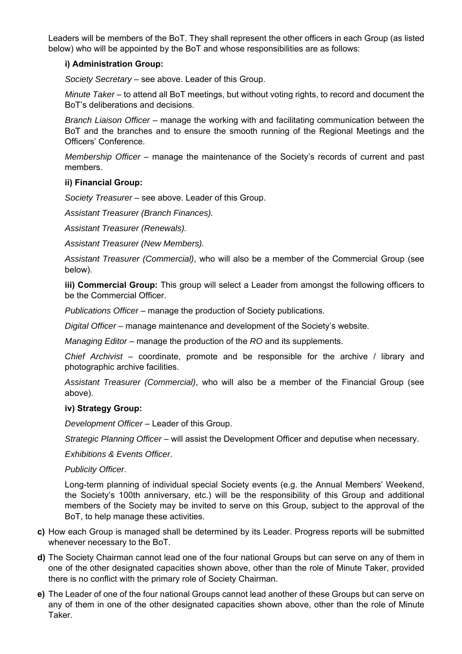Leaders will be members of the BoT. They shall represent the other officers in each Group (as listed below) who will be appointed by the BoT and whose responsibilities are as follows:

## **i) Administration Group:**

*Society Secretary* – see above. Leader of this Group.

 *Minute Taker* – to attend all BoT meetings, but without voting rights, to record and document the BoT's deliberations and decisions.

 *Branch Liaison Officer* – manage the working with and facilitating communication between the BoT and the branches and to ensure the smooth running of the Regional Meetings and the Officers' Conference.

 *Membership Officer* – manage the maintenance of the Society's records of current and past members.

#### **ii) Financial Group:**

*Society Treasurer* – see above. Leader of this Group.

 *Assistant Treasurer (Branch Finances).* 

 *Assistant Treasurer (Renewals).* 

 *Assistant Treasurer (New Members).* 

 *Assistant Treasurer (Commercial)*, who will also be a member of the Commercial Group (see below).

**iii) Commercial Group:** This group will select a Leader from amongst the following officers to be the Commercial Officer.

*Publications Officer* – manage the production of Society publications.

 *Digital Officer* – manage maintenance and development of the Society's website.

 *Managing Editor* – manage the production of the *RO* and its supplements.

 *Chief Archivist* – coordinate, promote and be responsible for the archive / library and photographic archive facilities.

 *Assistant Treasurer (Commercial)*, who will also be a member of the Financial Group (see above).

#### **iv) Strategy Group:**

*Development Officer* – Leader of this Group.

 *Strategic Planning Officer* – will assist the Development Officer and deputise when necessary.

 *Exhibitions & Events Officer*.

 *Publicity Officer*.

 Long-term planning of individual special Society events (e.g. the Annual Members' Weekend, the Society's 100th anniversary, etc.) will be the responsibility of this Group and additional members of the Society may be invited to serve on this Group, subject to the approval of the BoT, to help manage these activities.

- **c)** How each Group is managed shall be determined by its Leader. Progress reports will be submitted whenever necessary to the BoT.
- **d)** The Society Chairman cannot lead one of the four national Groups but can serve on any of them in one of the other designated capacities shown above, other than the role of Minute Taker, provided there is no conflict with the primary role of Society Chairman.
- **e)** The Leader of one of the four national Groups cannot lead another of these Groups but can serve on any of them in one of the other designated capacities shown above, other than the role of Minute Taker.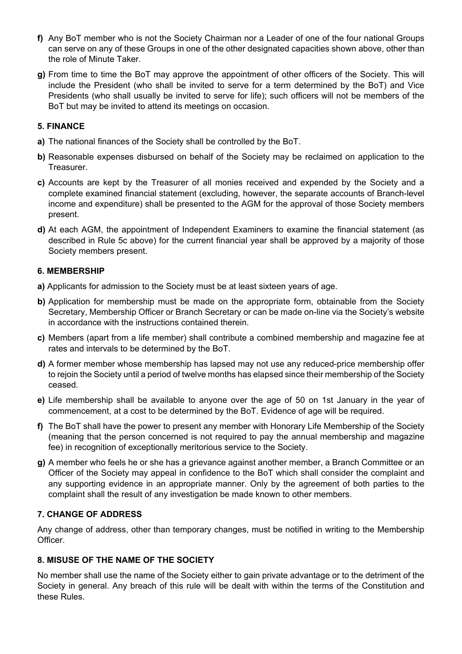- **f)** Any BoT member who is not the Society Chairman nor a Leader of one of the four national Groups can serve on any of these Groups in one of the other designated capacities shown above, other than the role of Minute Taker.
- **g)** From time to time the BoT may approve the appointment of other officers of the Society. This will include the President (who shall be invited to serve for a term determined by the BoT) and Vice Presidents (who shall usually be invited to serve for life); such officers will not be members of the BoT but may be invited to attend its meetings on occasion.

## **5. FINANCE**

- **a)** The national finances of the Society shall be controlled by the BoT.
- **b)** Reasonable expenses disbursed on behalf of the Society may be reclaimed on application to the Treasurer.
- **c)** Accounts are kept by the Treasurer of all monies received and expended by the Society and a complete examined financial statement (excluding, however, the separate accounts of Branch-level income and expenditure) shall be presented to the AGM for the approval of those Society members present.
- **d)** At each AGM, the appointment of Independent Examiners to examine the financial statement (as described in Rule 5c above) for the current financial year shall be approved by a majority of those Society members present.

## **6. MEMBERSHIP**

- **a)** Applicants for admission to the Society must be at least sixteen years of age.
- **b)** Application for membership must be made on the appropriate form, obtainable from the Society Secretary, Membership Officer or Branch Secretary or can be made on-line via the Society's website in accordance with the instructions contained therein.
- **c)** Members (apart from a life member) shall contribute a combined membership and magazine fee at rates and intervals to be determined by the BoT.
- **d)** A former member whose membership has lapsed may not use any reduced-price membership offer to rejoin the Society until a period of twelve months has elapsed since their membership of the Society ceased.
- **e)** Life membership shall be available to anyone over the age of 50 on 1st January in the year of commencement, at a cost to be determined by the BoT. Evidence of age will be required.
- **f)** The BoT shall have the power to present any member with Honorary Life Membership of the Society (meaning that the person concerned is not required to pay the annual membership and magazine fee) in recognition of exceptionally meritorious service to the Society.
- **g)** A member who feels he or she has a grievance against another member, a Branch Committee or an Officer of the Society may appeal in confidence to the BoT which shall consider the complaint and any supporting evidence in an appropriate manner. Only by the agreement of both parties to the complaint shall the result of any investigation be made known to other members.

## **7. CHANGE OF ADDRESS**

Any change of address, other than temporary changes, must be notified in writing to the Membership Officer.

## **8. MISUSE OF THE NAME OF THE SOCIETY**

No member shall use the name of the Society either to gain private advantage or to the detriment of the Society in general. Any breach of this rule will be dealt with within the terms of the Constitution and these Rules.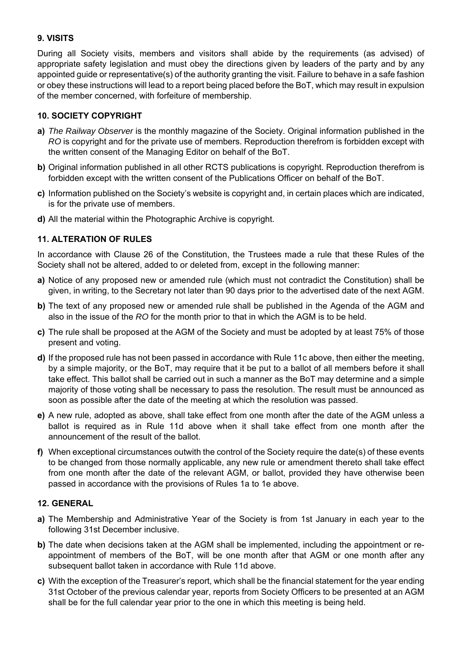## **9. VISITS**

During all Society visits, members and visitors shall abide by the requirements (as advised) of appropriate safety legislation and must obey the directions given by leaders of the party and by any appointed guide or representative(s) of the authority granting the visit. Failure to behave in a safe fashion or obey these instructions will lead to a report being placed before the BoT, which may result in expulsion of the member concerned, with forfeiture of membership.

## **10. SOCIETY COPYRIGHT**

- **a)** *The Railway Observer* is the monthly magazine of the Society. Original information published in the *RO* is copyright and for the private use of members. Reproduction therefrom is forbidden except with the written consent of the Managing Editor on behalf of the BoT.
- **b)** Original information published in all other RCTS publications is copyright. Reproduction therefrom is forbidden except with the written consent of the Publications Officer on behalf of the BoT.
- **c)** Information published on the Society's website is copyright and, in certain places which are indicated, is for the private use of members.
- **d)** All the material within the Photographic Archive is copyright.

## **11. ALTERATION OF RULES**

In accordance with Clause 26 of the Constitution, the Trustees made a rule that these Rules of the Society shall not be altered, added to or deleted from, except in the following manner:

- **a)** Notice of any proposed new or amended rule (which must not contradict the Constitution) shall be given, in writing, to the Secretary not later than 90 days prior to the advertised date of the next AGM.
- **b)** The text of any proposed new or amended rule shall be published in the Agenda of the AGM and also in the issue of the *RO* for the month prior to that in which the AGM is to be held.
- **c)** The rule shall be proposed at the AGM of the Society and must be adopted by at least 75% of those present and voting.
- **d)** If the proposed rule has not been passed in accordance with Rule 11c above, then either the meeting, by a simple majority, or the BoT, may require that it be put to a ballot of all members before it shall take effect. This ballot shall be carried out in such a manner as the BoT may determine and a simple majority of those voting shall be necessary to pass the resolution. The result must be announced as soon as possible after the date of the meeting at which the resolution was passed.
- **e)** A new rule, adopted as above, shall take effect from one month after the date of the AGM unless a ballot is required as in Rule 11d above when it shall take effect from one month after the announcement of the result of the ballot.
- **f)** When exceptional circumstances outwith the control of the Society require the date(s) of these events to be changed from those normally applicable, any new rule or amendment thereto shall take effect from one month after the date of the relevant AGM, or ballot, provided they have otherwise been passed in accordance with the provisions of Rules 1a to 1e above.

## **12. GENERAL**

- **a)** The Membership and Administrative Year of the Society is from 1st January in each year to the following 31st December inclusive.
- **b)** The date when decisions taken at the AGM shall be implemented, including the appointment or reappointment of members of the BoT, will be one month after that AGM or one month after any subsequent ballot taken in accordance with Rule 11d above.
- **c)** With the exception of the Treasurer's report, which shall be the financial statement for the year ending 31st October of the previous calendar year, reports from Society Officers to be presented at an AGM shall be for the full calendar year prior to the one in which this meeting is being held.